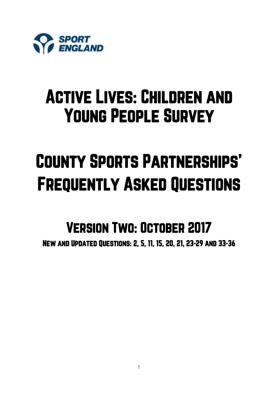

## Active Lives: Children and Young People Survey

# County Sports Partnerships' Frequently Asked Questions

## Version Two: October 2017

New and Updated Questions: 2, 5, 11, 15, 20, 21, 23-29 and 33-36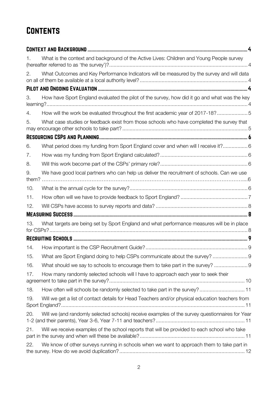## **CONTENTS**

| 1.  | What is the context and background of the Active Lives: Children and Young People survey        |
|-----|-------------------------------------------------------------------------------------------------|
| 2.  | What Outcomes and Key Performance Indicators will be measured by the survey and will data       |
|     |                                                                                                 |
| 3.  | How have Sport England evaluated the pilot of the survey, how did it go and what was the key    |
| 4.  | How will the work be evaluated throughout the first academic year of 2017-18?5                  |
| 5.  | What case studies or feedback exist from those schools who have completed the survey that       |
|     |                                                                                                 |
| 6.  | What period does my funding from Sport England cover and when will I receive it? 6              |
| 7.  |                                                                                                 |
| 8.  |                                                                                                 |
| 9.  | We have good local partners who can help us deliver the recruitment of schools. Can we use      |
| 10. |                                                                                                 |
| 11. |                                                                                                 |
| 12. |                                                                                                 |
|     |                                                                                                 |
| 13. | What targets are being set by Sport England and what performance measures will be in place      |
|     |                                                                                                 |
| 14. |                                                                                                 |
| 15. | What are Sport England doing to help CSPs communicate about the survey?  9                      |
| 16. | What should we say to schools to encourage them to take part in the survey?  9                  |
| 17. | How many randomly selected schools will I have to approach each year to seek their              |
| 18. | How often will schools be randomly selected to take part in the survey? 11                      |
| 19. | Will we get a list of contact details for Head Teachers and/or physical education teachers from |
| 20. | Will we (and randomly selected schools) receive examples of the survey questionnaires for Year  |
| 21. | Will we receive examples of the school reports that will be provided to each school who take    |
| 22. | We know of other surveys running in schools when we want to approach them to take part in       |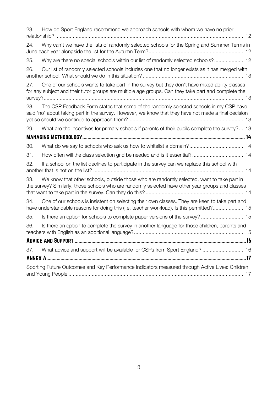| 23. | How do Sport England recommend we approach schools with whom we have no prior                                                                                                                        |
|-----|------------------------------------------------------------------------------------------------------------------------------------------------------------------------------------------------------|
| 24. | Why can't we have the lists of randomly selected schools for the Spring and Summer Terms in                                                                                                          |
| 25. | Why are there no special schools within our list of randomly selected schools? 12                                                                                                                    |
| 26. | Our list of randomly selected schools includes one that no longer exists as it has merged with                                                                                                       |
| 27. | One of our schools wants to take part in the survey but they don't have mixed ability classes<br>for any subject and their tutor groups are multiple age groups. Can they take part and complete the |
| 28. | The CSP Feedback Form states that some of the randomly selected schools in my CSP have<br>said 'no' about taking part in the survey. However, we know that they have not made a final decision       |
| 29. | What are the incentives for primary schools if parents of their pupils complete the survey? 13                                                                                                       |
|     |                                                                                                                                                                                                      |
| 30. |                                                                                                                                                                                                      |
| 31. | How often will the class selection grid be needed and is it essential? 14                                                                                                                            |
| 32. | If a school on the list declines to participate in the survey can we replace this school with                                                                                                        |
| 33. | We know that other schools, outside those who are randomly selected, want to take part in<br>the survey? Similarly, those schools who are randomly selected have other year groups and classes       |
| 34. | One of our schools is insistent on selecting their own classes. They are keen to take part and<br>have understandable reasons for doing this (i.e. teacher workload). Is this permitted? 15          |
| 35. | Is there an option for schools to complete paper versions of the survey?  15                                                                                                                         |
| 36. | Is there an option to complete the survey in another language for those children, parents and                                                                                                        |
|     |                                                                                                                                                                                                      |
| 37. | What advice and support will be available for CSPs from Sport England?  16                                                                                                                           |
|     |                                                                                                                                                                                                      |
|     | Sporting Future Outcomes and Key Performance Indicators measured through Active Lives: Children                                                                                                      |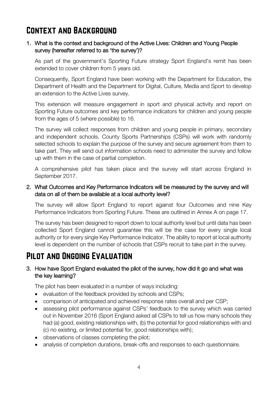## <span id="page-3-0"></span>Context and Background

#### <span id="page-3-1"></span>1. What is the context and background of the Active Lives: Children and Young People survey (hereafter referred to as 'the survey')?

As part of the government's Sporting Future strategy Sport England's remit has been extended to cover children from 5 years old.

Consequently, Sport England have been working with the Department for Education, the Department of Health and the Department for Digital, Culture, Media and Sport to develop an extension to the Active Lives survey.

This extension will measure engagement in sport and physical activity and report on Sporting Future outcomes and key performance indicators for children and young people from the ages of 5 (where possible) to 16.

The survey will collect responses from children and young people in primary, secondary and independent schools. County Sports Partnerships (CSPs) will work with randomly selected schools to explain the purpose of the survey and secure agreement from them to take part. They will send out information schools need to administer the survey and follow up with them in the case of partial completion.

A comprehensive pilot has taken place and the survey will start across England in September 2017.

#### <span id="page-3-2"></span>2. What Outcomes and Key Performance Indicators will be measured by the survey and will data on all of them be available at a local authority level?

The survey will allow Sport England to report against four Outcomes and nine Key Performance Indicators from Sporting Future. These are outlined in Annex A on page 17.

The survey has been designed to report down to local authority level but until data has been collected Sport England cannot guarantee this will be the case for every single local authority or for every single Key Performance Indicator. The ability to report at local authority level is dependent on the number of schools that CSPs recruit to take part in the survey.

## <span id="page-3-3"></span>Pilot and Ongoing Evaluation

#### <span id="page-3-4"></span>3. How have Sport England evaluated the pilot of the survey, how did it go and what was the key learning?

The pilot has been evaluated in a number of ways including:

- evaluation of the feedback provided by schools and CSPs;
- comparison of anticipated and achieved response rates overall and per CSP;
- assessing pilot performance against CSPs' feedback to the survey which was carried out in November 2016 (Sport England asked all CSPs to tell us how many schools they had (a) good, existing relationships with, (b) the potential for good relationships with and (c) no existing, or limited potential for, good relationships with);
- observations of classes completing the pilot;
- analysis of completion durations, break-offs and responses to each questionnaire.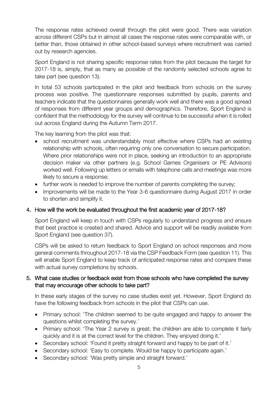The response rates achieved overall through the pilot were good. There was variation across different CSPs but in almost all cases the response rates were comparable with, or better than, those obtained in other school-based surveys where recruitment was carried out by research agencies.

Sport England is not sharing specific response rates from the pilot because the target for 2017-18 is, simply, that as many as possible of the randomly selected schools agree to take part (see question 13).

In total 53 schools participated in the pilot and feedback from schools on the survey process was positive. The questionnaire responses submitted by pupils, parents and teachers indicate that the questionnaires generally work well and there was a good spread of responses from different year groups and demographics. Therefore, Sport England is confident that the methodology for the survey will continue to be successful when it is rolled out across England during the Autumn Term 2017.

The key learning from the pilot was that:

- school recruitment was understandably most effective where CSPs had an existing relationship with schools, often requiring only one conversation to secure participation. Where prior relationships were not in place, seeking an introduction to an appropriate decision maker via other partners (e.g. School Games Organisers or PE Advisors) worked well. Following up letters or emails with telephone calls and meetings was more likely to secure a response;
- further work is needed to improve the number of parents completing the survey;
- Improvements will be made to the Year 3-6 questionnaire during August 2017 in order to shorten and simplify it.

#### <span id="page-4-0"></span>4. How will the work be evaluated throughout the first academic year of 2017-18?

Sport England will keep in touch with CSPs regularly to understand progress and ensure that best practice is created and shared. Advice and support will be readily available from Sport England (see question 37).

CSPs will be asked to return feedback to Sport England on school responses and more general comments throughout 2017-18 via the CSP Feedback Form (see question 11). This will enable Sport England to keep track of anticipated response rates and compare these with actual survey completions by schools.

#### <span id="page-4-1"></span>5. What case studies or feedback exist from those schools who have completed the survey that may encourage other schools to take part?

In these early stages of the survey no case studies exist yet. However, Sport England do have the following feedback from schools in the pilot that CSPs can use.

- Primary school: 'The children seemed to be quite engaged and happy to answer the questions whilst completing the survey.'
- Primary school: 'The Year 2 survey is great; the children are able to complete it fairly quickly and it is at the correct level for the children. They enjoyed doing it.'
- Secondary school: 'Found it pretty straight forward and happy to be part of it.'
- Secondary school: 'Easy to complete. Would be happy to participate again.'
- Secondary school: 'Was pretty simple and straight forward.'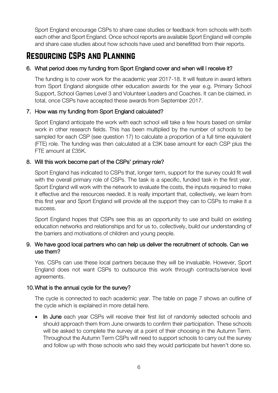Sport England encourage CSPs to share case studies or feedback from schools with both each other and Sport England. Once school reports are available Sport England will compile and share case studies about how schools have used and benefitted from their reports.

## <span id="page-5-0"></span>Resourcing CSPs and Planning

#### <span id="page-5-1"></span>6. What period does my funding from Sport England cover and when will I receive it?

The funding is to cover work for the academic year 2017-18. It will feature in award letters from Sport England alongside other education awards for the year e.g. Primary School Support, School Games Level 3 and Volunteer Leaders and Coaches. It can be claimed, in total, once CSPs have accepted these awards from September 2017.

#### <span id="page-5-2"></span>7. How was my funding from Sport England calculated?

Sport England anticipate the work with each school will take a few hours based on similar work in other research fields. This has been multiplied by the number of schools to be sampled for each CSP (see question 17) to calculate a proportion of a full time equivalent (FTE) role. The funding was then calculated at a £3K base amount for each CSP plus the FTE amount at £35K.

#### <span id="page-5-3"></span>8. Will this work become part of the CSPs' primary role?

Sport England has indicated to CSPs that, longer term, support for the survey could fit well with the overall primary role of CSPs. The task is a specific, funded task in the first year. Sport England will work with the network to evaluate the costs, the inputs required to make it effective and the resources needed. It is really important that, collectively, we learn from this first year and Sport England will provide all the support they can to CSPs to make it a success.

Sport England hopes that CSPs see this as an opportunity to use and build on existing education networks and relationships and for us to, collectively, build our understanding of the barriers and motivations of children and young people.

#### <span id="page-5-4"></span>9. We have good local partners who can help us deliver the recruitment of schools. Can we use them?

Yes. CSPs can use these local partners because they will be invaluable. However, Sport England does not want CSPs to outsource this work through contracts/service level agreements.

#### <span id="page-5-5"></span>10.What is the annual cycle for the survey?

The cycle is connected to each academic year. The table on page 7 shows an outline of the cycle which is explained in more detail here.

• In June each year CSPs will receive their first list of randomly selected schools and should approach them from June onwards to confirm their participation. These schools will be asked to complete the survey at a point of their choosing in the Autumn Term. Throughout the Autumn Term CSPs will need to support schools to carry out the survey and follow up with those schools who said they would participate but haven't done so.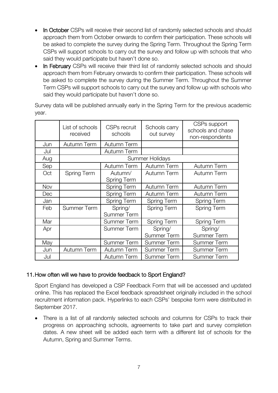- In October CSPs will receive their second list of randomly selected schools and should approach them from October onwards to confirm their participation. These schools will be asked to complete the survey during the Spring Term. Throughout the Spring Term CSPs will support schools to carry out the survey and follow up with schools that who said they would participate but haven't done so.
- In February CSPs will receive their third list of randomly selected schools and should approach them from February onwards to confirm their participation. These schools will be asked to complete the survey during the Summer Term. Throughout the Summer Term CSPs will support schools to carry out the survey and follow up with schools who said they would participate but haven't done so.

Survey data will be published annually early in the Spring Term for the previous academic year.

|            | List of schools<br>received | <b>CSPs</b> recruit<br>schools | Schools carry<br>out survey | CSPs support<br>schools and chase<br>non-respondents |
|------------|-----------------------------|--------------------------------|-----------------------------|------------------------------------------------------|
| Jun        | Autumn Term                 | Autumn Term                    |                             |                                                      |
| Jul        |                             | <b>Autumn Term</b>             |                             |                                                      |
| Aug        | <b>Summer Holidays</b>      |                                |                             |                                                      |
| Sep        |                             | Autumn Term                    | Autumn Term                 | <b>Autumn Term</b>                                   |
| Oct        | Spring Term                 | Autumn/<br><b>Spring Term</b>  | Autumn Term                 | Autumn Term                                          |
| <b>Nov</b> |                             | <b>Spring Term</b>             | <b>Autumn Term</b>          | <b>Autumn Term</b>                                   |
| Dec        |                             | <b>Spring Term</b>             | <b>Autumn Term</b>          | Autumn Term                                          |
| Jan        |                             | <b>Spring Term</b>             | Spring Term                 | <b>Spring Term</b>                                   |
| Feb        | <b>Summer Term</b>          | Spring/<br><b>Summer Term</b>  | Spring Term                 | <b>Spring Term</b>                                   |
| Mar        |                             | <b>Summer Term</b>             | Spring Term                 | <b>Spring Term</b>                                   |
| Apr        |                             | <b>Summer Term</b>             | Spring/                     | Spring/                                              |
|            |                             |                                | <b>Summer Term</b>          | <b>Summer Term</b>                                   |
| May        |                             | <b>Summer Term</b>             | <b>Summer Term</b>          | <b>Summer Term</b>                                   |
| Jun        | Autumn Term                 | Autumn Term                    | <b>Summer Term</b>          | <b>Summer Term</b>                                   |
| Jul        |                             | Autumn Term                    | <b>Summer Term</b>          | <b>Summer Term</b>                                   |

#### <span id="page-6-0"></span>11.How often will we have to provide feedback to Sport England?

Sport England has developed a CSP Feedback Form that will be accessed and updated online. This has replaced the Excel feedback spreadsheet originally included in the school recruitment information pack. Hyperlinks to each CSPs' bespoke form were distributed in September 2017.

There is a list of all randomly selected schools and columns for CSPs to track their progress on approaching schools, agreements to take part and survey completion dates. A new sheet will be added each term with a different list of schools for the Autumn, Spring and Summer Terms.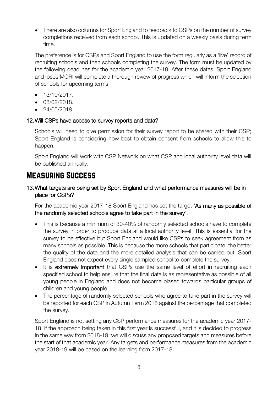• There are also columns for Sport England to feedback to CSPs on the number of survey completions received from each school. This is updated on a weekly basis during term time.

The preference is for CSPs and Sport England to use the form regularly as a 'live' record of recruiting schools and then schools completing the survey. The form must be updated by the following deadlines for the academic year 2017-18. After these dates, Sport England and Ipsos MORI will complete a thorough review of progress which will inform the selection of schools for upcoming terms.

- 13/10/2017.
- 08/02/2018.
- 24/05/2018.

#### <span id="page-7-0"></span>12.Will CSPs have access to survey reports and data?

Schools will need to give permission for their survey report to be shared with their CSP; Sport England is considering how best to obtain consent from schools to allow this to happen.

Sport England will work with CSP Network on what CSP and local authority level data will be published annually.

### <span id="page-7-1"></span>Measuring Success

#### <span id="page-7-2"></span>13.What targets are being set by Sport England and what performance measures will be in place for CSPs?

For the academic year 2017-18 Sport England has set the target 'As many as possible of the randomly selected schools agree to take part in the survey'.

- This is because a minimum of 30-40% of randomly selected schools have to complete the survey in order to produce data at a local authority level. This is essential for the survey to be effective but Sport England would like CSPs to seek agreement from as many schools as possible. This is because the more schools that participate, the better the quality of the data and the more detailed analysis that can be carried out. Sport England does not expect every single sampled school to complete the survey.
- It is extremely important that CSPs use the same level of effort in recruiting each specified school to help ensure that the final data is as representative as possible of all young people in England and does not become biased towards particular groups of children and young people.
- The percentage of randomly selected schools who agree to take part in the survey will be reported for each CSP in Autumn Term 2018 against the percentage that completed the survey.

Sport England is not setting any CSP performance measures for the academic year 2017- 18. If the approach being taken in this first year is successful, and it is decided to progress in the same way from 2018-19, we will discuss any proposed targets and measures before the start of that academic year. Any targets and performance measures from the academic year 2018-19 will be based on the learning from 2017-18.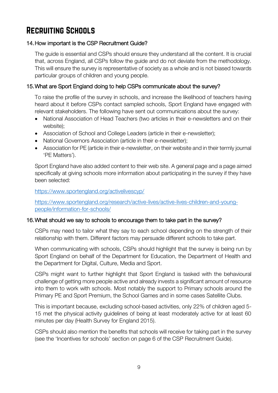## <span id="page-8-0"></span>Recruiting Schools

#### <span id="page-8-1"></span>14.How important is the CSP Recruitment Guide?

The guide is essential and CSPs should ensure they understand all the content. It is crucial that, across England, all CSPs follow the guide and do not deviate from the methodology. This will ensure the survey is representative of society as a whole and is not biased towards particular groups of children and young people.

#### <span id="page-8-2"></span>15.What are Sport England doing to help CSPs communicate about the survey?

To raise the profile of the survey in schools, and increase the likelihood of teachers having heard about it before CSPs contact sampled schools, Sport England have engaged with relevant stakeholders. The following have sent out communications about the survey:

- National Association of Head Teachers (two articles in their e-newsletters and on their website);
- Association of School and College Leaders (article in their e-newsletter);
- National Governors Association (article in their e-newsletter);
- Association for PE (article in their e-newsletter, on their website and in their termly journal 'PE Matters').

Sport England have also added content to their web site. A general page and a page aimed specifically at giving schools more information about participating in the survey if they have been selected:

#### <https://www.sportengland.org/activelivescyp/>

[https://www.sportengland.org/research/active-lives/active-lives-children-and-young](https://www.sportengland.org/research/active-lives/active-lives-children-and-young-people/information-for-schools/)[people/information-for-schools/](https://www.sportengland.org/research/active-lives/active-lives-children-and-young-people/information-for-schools/)

#### <span id="page-8-3"></span>16.What should we say to schools to encourage them to take part in the survey?

CSPs may need to tailor what they say to each school depending on the strength of their relationship with them. Different factors may persuade different schools to take part.

When communicating with schools, CSPs should highlight that the survey is being run by Sport England on behalf of the Department for Education, the Department of Health and the Department for Digital, Culture, Media and Sport.

CSPs might want to further highlight that Sport England is tasked with the behavioural challenge of getting more people active and already invests a significant amount of resource into them to work with schools. Most notably the support to Primary schools around the Primary PE and Sport Premium, the School Games and in some cases Satellite Clubs.

This is important because, excluding school-based activities, only 22% of children aged 5- 15 met the physical activity guidelines of being at least moderately active for at least 60 minutes per day (Health Survey for England 2015).

CSPs should also mention the benefits that schools will receive for taking part in the survey (see the 'Incentives for schools' section on page 6 of the CSP Recruitment Guide).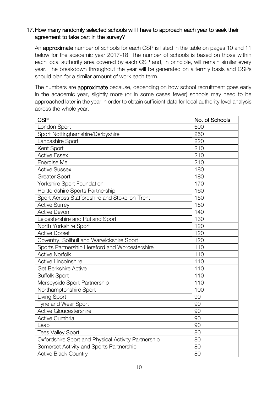#### <span id="page-9-0"></span>17.How many randomly selected schools will I have to approach each year to seek their agreement to take part in the survey?

An approximate number of schools for each CSP is listed in the table on pages 10 and 11 below for the academic year 2017-18. The number of schools is based on those within each local authority area covered by each CSP and, in principle, will remain similar every year. The breakdown throughout the year will be generated on a termly basis and CSPs should plan for a similar amount of work each term.

The numbers are **approximate** because, depending on how school recruitment goes early in the academic year, slightly more (or in some cases fewer) schools may need to be approached later in the year in order to obtain sufficient data for local authority level analysis across the whole year.

| <b>CSP</b>                                          | No. of Schools |
|-----------------------------------------------------|----------------|
| London Sport                                        | 600            |
| Sport Nottinghamshire/Derbyshire                    | 250            |
| Lancashire Sport                                    | 220            |
| Kent Sport                                          | 210            |
| <b>Active Essex</b>                                 | 210            |
| Energise Me                                         | 210            |
| <b>Active Sussex</b>                                | 180            |
| <b>Greater Sport</b>                                | 180            |
| <b>Yorkshire Sport Foundation</b>                   | 170            |
| Hertfordshire Sports Partnership                    | 160            |
| Sport Across Staffordshire and Stoke-on-Trent       | 150            |
| <b>Active Surrey</b>                                | 150            |
| <b>Active Devon</b>                                 | 140            |
| Leicestershire and Rutland Sport                    | 130            |
| North Yorkshire Sport                               | 120            |
| <b>Active Dorset</b>                                | 120            |
| Coventry, Solihull and Warwickshire Sport           | 120            |
| Sports Partnership Hereford and Worcestershire      | 110            |
| <b>Active Norfolk</b>                               | 110            |
| <b>Active Lincolnshire</b>                          | 110            |
| <b>Get Berkshire Active</b>                         | 110            |
| Suffolk Sport                                       | 110            |
| Merseyside Sport Partnership                        | 110            |
| Northamptonshire Sport                              | 100            |
| Living Sport                                        | 90             |
| Tyne and Wear Sport                                 | 90             |
| <b>Active Gloucestershire</b>                       | 90             |
| <b>Active Cumbria</b>                               | 90             |
| Leap                                                | 90             |
| <b>Tees Valley Sport</b>                            | 80             |
| Oxfordshire Sport and Physical Activity Partnership | 80             |
| Somerset Activity and Sports Partnership            | 80             |
| <b>Active Black Country</b>                         | 80             |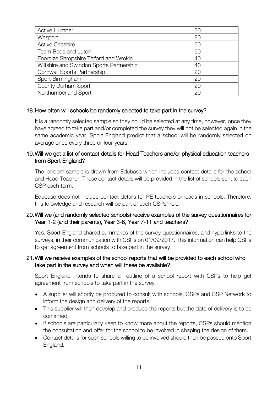| <b>Active Humber</b>                     | 80 |
|------------------------------------------|----|
| Wesport                                  | 80 |
| <b>Active Cheshire</b>                   | 60 |
| <b>Team Beds and Luton</b>               | 60 |
| Energize Shropshire Telford and Wrekin   | 40 |
| Wiltshire and Swindon Sports Partnership | 40 |
| <b>Cornwall Sports Partnership</b>       | 20 |
| Sport Birmingham                         | 20 |
| County Durham Sport                      | 20 |
| Northumberland Sport                     | 20 |

#### <span id="page-10-0"></span>18.How often will schools be randomly selected to take part in the survey?

It is a randomly selected sample so they could be selected at any time, however, once they have agreed to take part and/or completed the survey they will not be selected again in the same academic year. Sport England predict that a school will be randomly selected on average once every three or four years.

#### <span id="page-10-1"></span>19.Will we get a list of contact details for Head Teachers and/or physical education teachers from Sport England?

The random sample is drawn from Edubase which includes contact details for the school and Head Teacher. These contact details will be provided in the list of schools sent to each CSP each term.

Edubase does not include contact details for PE teachers or leads in schools. Therefore, this knowledge and research will be part of each CSPs' role.

#### <span id="page-10-2"></span>20.Will we (and randomly selected schools) receive examples of the survey questionnaires for Year 1-2 (and their parents), Year 3-6, Year 7-11 and teachers?

Yes. Sport England shared summaries of the survey questionnaires, and hyperlinks to the surveys, in their communication with CSPs on 01/09/2017. This information can help CSPs to get agreement from schools to take part in the survey.

#### <span id="page-10-3"></span>21.Will we receive examples of the school reports that will be provided to each school who take part in the survey and when will these be available?

Sport England intends to share an outline of a school report with CSPs to help get agreement from schools to take part in the survey.

- A supplier will shortly be procured to consult with schools, CSPs and CSP Network to inform the design and delivery of the reports.
- This supplier will then develop and produce the reports but the date of delivery is to be confirmed.
- If schools are particularly keen to know more about the reports, CSPs should mention the consultation and offer for the school to be involved in shaping the design of them.
- Contact details for such schools willing to be involved should then be passed onto Sport England.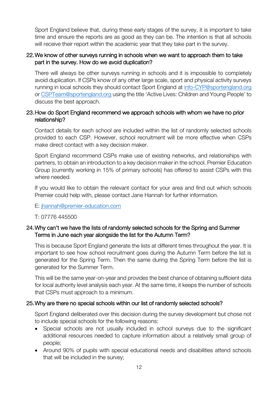Sport England believe that, during these early stages of the survey, it is important to take time and ensure the reports are as good as they can be. The intention is that all schools will receive their report within the academic year that they take part in the survey.

#### <span id="page-11-0"></span>22.We know of other surveys running in schools when we want to approach them to take part in the survey. How do we avoid duplication?

There will always be other surveys running in schools and it is impossible to completely avoid duplication. If CSPs know of any other large scale, sport and physical activity surveys running in local schools they should contact Sport England at [info-CYP@sportengland.org](mailto:info-CYP@sportengland.org) or [CSPTeam@sportengland.org](mailto:CSPTeam@sportengland.org) using the title 'Active Lives: Children and Young People' to discuss the best approach.

#### <span id="page-11-1"></span>23.How do Sport England recommend we approach schools with whom we have no prior relationship?

Contact details for each school are included within the list of randomly selected schools provided to each CSP. However, school recruitment will be more effective when CSPs make direct contact with a key decision maker.

Sport England recommend CSPs make use of existing networks, and relationships with partners, to obtain an introduction to a key decision maker in the school. Premier Education Group (currently working in 15% of primary schools) has offered to assist CSPs with this where needed.

If you would like to obtain the relevant contact for your area and find out which schools Premier could help with, please contact Jane Hannah for further information.

E: [jhannah@premier-education.com](mailto:jhannah@premier-education.com)

T: 07776 445500

#### <span id="page-11-2"></span>24.Why can't we have the lists of randomly selected schools for the Spring and Summer Terms in June each year alongside the list for the Autumn Term?

This is because Sport England generate the lists at different times throughout the year. It is important to see how school recruitment goes during the Autumn Term before the list is generated for the Spring Term. Then the same during the Spring Term before the list is generated for the Summer Term.

This will be the same year-on-year and provides the best chance of obtaining sufficient data for local authority level analysis each year. At the same time, it keeps the number of schools that CSPs must approach to a minimum.

#### <span id="page-11-3"></span>25.Why are there no special schools within our list of randomly selected schools?

Sport England deliberated over this decision during the survey development but chose not to include special schools for the following reasons:

- Special schools are not usually included in school surveys due to the significant additional resources needed to capture information about a relatively small group of people;
- Around 90% of pupils with special educational needs and disabilities attend schools that will be included in the survey;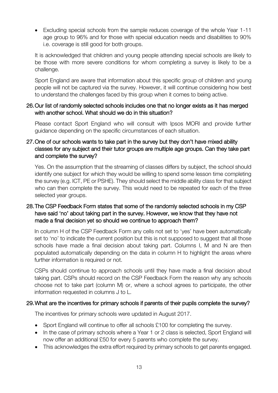• Excluding special schools from the sample reduces coverage of the whole Year 1-11 age group to 96% and for those with special education needs and disabilities to 90% i.e. coverage is still good for both groups.

It is acknowledged that children and young people attending special schools are likely to be those with more severe conditions for whom completing a survey is likely to be a challenge.

Sport England are aware that information about this specific group of children and young people will not be captured via the survey. However, it will continue considering how best to understand the challenges faced by this group when it comes to being active.

#### <span id="page-12-0"></span>26.Our list of randomly selected schools includes one that no longer exists as it has merged with another school. What should we do in this situation?

Please contact Sport England who will consult with Ipsos MORI and provide further guidance depending on the specific circumstances of each situation.

#### <span id="page-12-1"></span>27.One of our schools wants to take part in the survey but they don't have mixed ability classes for any subject and their tutor groups are multiple age groups. Can they take part and complete the survey?

Yes. On the assumption that the streaming of classes differs by subject, the school should identify one subject for which they would be willing to spend some lesson time completing the survey (e.g. ICT, PE or PSHE). They should select the middle ability class for that subject who can then complete the survey. This would need to be repeated for each of the three selected year groups.

#### <span id="page-12-2"></span>28.The CSP Feedback Form states that some of the randomly selected schools in my CSP have said 'no' about taking part in the survey. However, we know that they have not made a final decision yet so should we continue to approach them?

In column H of the CSP Feedback Form any cells not set to 'yes' have been automatically set to 'no' to indicate the current position but this is not supposed to suggest that all those schools have made a final decision about taking part. Columns I, M and N are then populated automatically depending on the data in column H to highlight the areas where further information is required or not.

CSPs should continue to approach schools until they have made a final decision about taking part. CSPs should record on the CSP Feedback Form the reason why any schools choose not to take part (column M) or, where a school agrees to participate, the other information requested in columns J to L.

#### <span id="page-12-3"></span>29.What are the incentives for primary schools if parents of their pupils complete the survey?

The incentives for primary schools were updated in August 2017.

- Sport England will continue to offer all schools £100 for completing the survey.
- In the case of primary schools where a Year 1 or 2 class is selected, Sport England will now offer an additional £50 for every 5 parents who complete the survey.
- This acknowledges the extra effort required by primary schools to get parents engaged.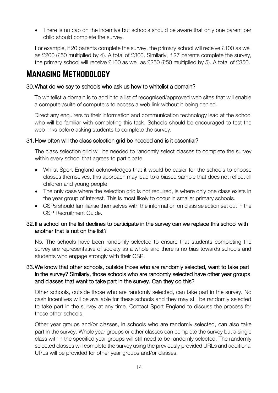• There is no cap on the incentive but schools should be aware that only one parent per child should complete the survey.

For example, if 20 parents complete the survey, the primary school will receive £100 as well as £200 (£50 multiplied by 4). A total of £300. Similarly, if 27 parents complete the survey, the primary school will receive £100 as well as £250 (£50 multiplied by 5). A total of £350.

### <span id="page-13-0"></span>Managing Methodology

#### <span id="page-13-1"></span>30.What do we say to schools who ask us how to whitelist a domain?

To whitelist a domain is to add it to a list of recognised/approved web sites that will enable a computer/suite of computers to access a web link without it being denied.

Direct any enquirers to their information and communication technology lead at the school who will be familiar with completing this task. Schools should be encouraged to test the web links before asking students to complete the survey.

#### <span id="page-13-2"></span>31.How often will the class selection grid be needed and is it essential?

The class selection grid will be needed to randomly select classes to complete the survey within every school that agrees to participate.

- Whilst Sport England acknowledges that it would be easier for the schools to choose classes themselves, this approach may lead to a biased sample that does not reflect all children and young people.
- The only case where the selection grid is not required, is where only one class exists in the year group of interest. This is most likely to occur in smaller primary schools.
- CSPs should familiarise themselves with the information on class selection set out in the CSP Recruitment Guide.

#### <span id="page-13-3"></span>32.If a school on the list declines to participate in the survey can we replace this school with another that is not on the list?

No. The schools have been randomly selected to ensure that students completing the survey are representative of society as a whole and there is no bias towards schools and students who engage strongly with their CSP.

#### <span id="page-13-4"></span>33.We know that other schools, outside those who are randomly selected, want to take part in the survey? Similarly, those schools who are randomly selected have other year groups and classes that want to take part in the survey. Can they do this?

Other schools, outside those who are randomly selected, can take part in the survey. No cash incentives will be available for these schools and they may still be randomly selected to take part in the survey at any time. Contact Sport England to discuss the process for these other schools.

Other year groups and/or classes, in schools who are randomly selected, can also take part in the survey. Whole year groups or other classes can complete the survey but a single class within the specified year groups will still need to be randomly selected. The randomly selected classes will complete the survey using the previously provided URLs and additional URLs will be provided for other year groups and/or classes.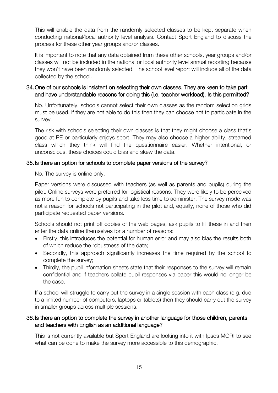This will enable the data from the randomly selected classes to be kept separate when conducting national/local authority level analysis. Contact Sport England to discuss the process for these other year groups and/or classes.

It is important to note that any data obtained from these other schools, year groups and/or classes will not be included in the national or local authority level annual reporting because they won't have been randomly selected. The school level report will include all of the data collected by the school.

#### <span id="page-14-0"></span>34.One of our schools is insistent on selecting their own classes. They are keen to take part and have understandable reasons for doing this (i.e. teacher workload). Is this permitted?

No. Unfortunately, schools cannot select their own classes as the random selection grids must be used. If they are not able to do this then they can choose not to participate in the survey.

The risk with schools selecting their own classes is that they might choose a class that's good at PE or particularly enjoys sport. They may also choose a higher ability, streamed class which they think will find the questionnaire easier. Whether intentional, or unconscious, these choices could bias and skew the data.

#### <span id="page-14-1"></span>35.Is there an option for schools to complete paper versions of the survey?

No. The survey is online only.

Paper versions were discussed with teachers (as well as parents and pupils) during the pilot. Online surveys were preferred for logistical reasons. They were likely to be perceived as more fun to complete by pupils and take less time to administer. The survey mode was not a reason for schools not participating in the pilot and, equally, none of those who did participate requested paper versions.

Schools should not print off copies of the web pages, ask pupils to fill these in and then enter the data online themselves for a number of reasons:

- Firstly, this introduces the potential for human error and may also bias the results both of which reduce the robustness of the data;
- Secondly, this approach significantly increases the time required by the school to complete the survey;
- Thirdly, the pupil information sheets state that their responses to the survey will remain confidential and if teachers collate pupil responses via paper this would no longer be the case.

If a school will struggle to carry out the survey in a single session with each class (e.g. due to a limited number of computers, laptops or tablets) then they should carry out the survey in smaller groups across multiple sessions.

#### <span id="page-14-2"></span>36.Is there an option to complete the survey in another language for those children, parents and teachers with English as an additional language?

This is not currently available but Sport England are looking into it with Ipsos MORI to see what can be done to make the survey more accessible to this demographic.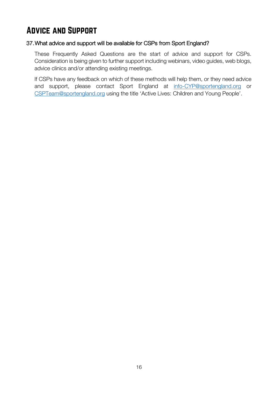## <span id="page-15-0"></span>Advice and Support

#### <span id="page-15-1"></span>37.What advice and support will be available for CSPs from Sport England?

These Frequently Asked Questions are the start of advice and support for CSPs. Consideration is being given to further support including webinars, video guides, web blogs, advice clinics and/or attending existing meetings.

If CSPs have any feedback on which of these methods will help them, or they need advice and support, please contact Sport England at [info-CYP@sportengland.org](mailto:info-CYP@sportengland.org) or [CSPTeam@sportengland.org](mailto:CSPTeam@sportengland.org) using the title 'Active Lives: Children and Young People'.